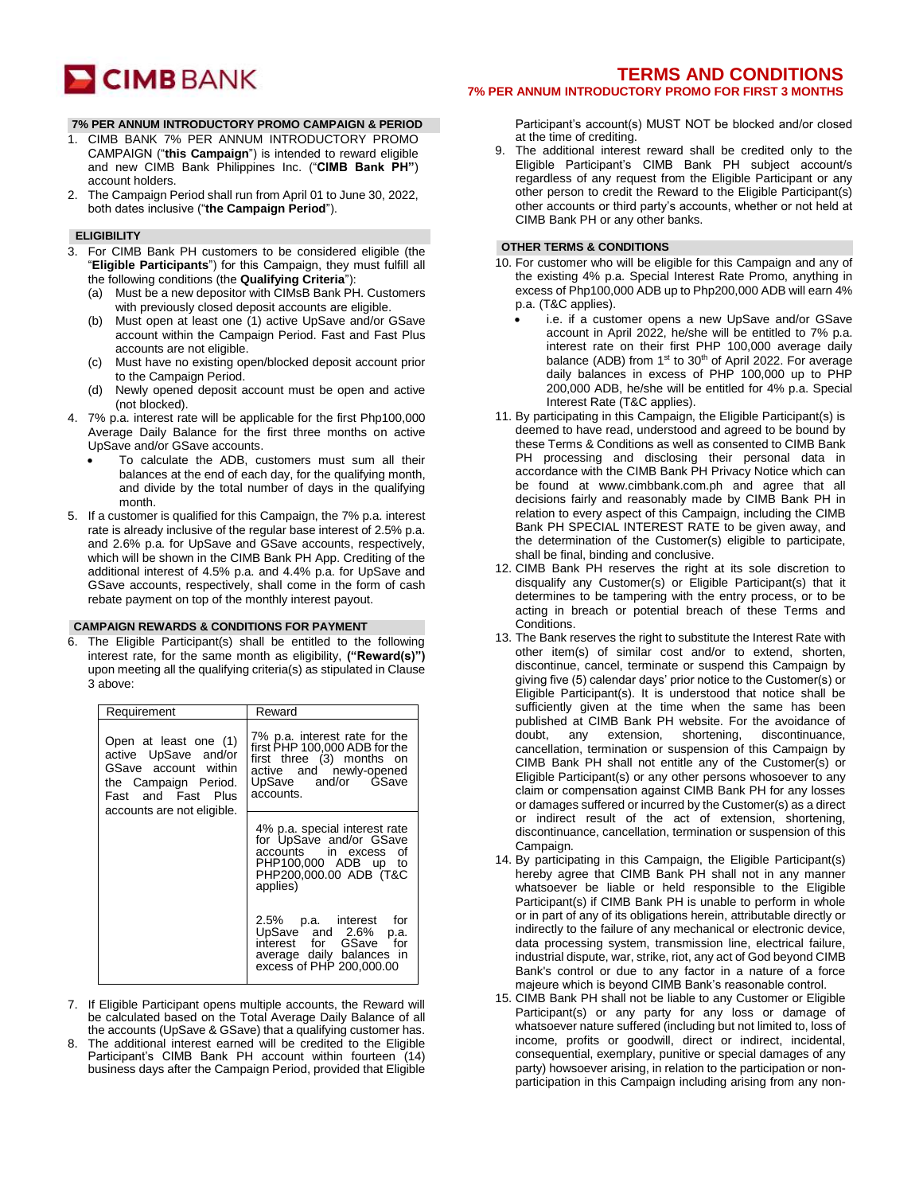

## **7% PER ANNUM INTRODUCTORY PROMO CAMPAIGN & PERIOD**

- 1. CIMB BANK 7% PER ANNUM INTRODUCTORY PROMO CAMPAIGN ("**this Campaign**") is intended to reward eligible and new CIMB Bank Philippines Inc. ("**CIMB Bank PH"**) account holders.
- 2. The Campaign Period shall run from April 01 to June 30, 2022, both dates inclusive ("**the Campaign Period**").

### **ELIGIBILITY**

- 3. For CIMB Bank PH customers to be considered eligible (the "**Eligible Participants**") for this Campaign, they must fulfill all the following conditions (the **Qualifying Criteria**"):
	- (a) Must be a new depositor with CIMsB Bank PH. Customers with previously closed deposit accounts are eligible.
	- (b) Must open at least one (1) active UpSave and/or GSave account within the Campaign Period. Fast and Fast Plus accounts are not eligible.
	- (c) Must have no existing open/blocked deposit account prior to the Campaign Period.
	- (d) Newly opened deposit account must be open and active (not blocked).
- 4. 7% p.a. interest rate will be applicable for the first Php100,000 Average Daily Balance for the first three months on active UpSave and/or GSave accounts.
	- To calculate the ADB, customers must sum all their balances at the end of each day, for the qualifying month, and divide by the total number of days in the qualifying month.
- 5. If a customer is qualified for this Campaign, the 7% p.a. interest rate is already inclusive of the regular base interest of 2.5% p.a. and 2.6% p.a. for UpSave and GSave accounts, respectively, which will be shown in the CIMB Bank PH App. Crediting of the additional interest of 4.5% p.a. and 4.4% p.a. for UpSave and GSave accounts, respectively, shall come in the form of cash rebate payment on top of the monthly interest payout.

#### **CAMPAIGN REWARDS & CONDITIONS FOR PAYMENT**

6. The Eligible Participant(s) shall be entitled to the following interest rate, for the same month as eligibility, **("Reward(s)")**  upon meeting all the qualifying criteria(s) as stipulated in Clause 3 above:

| Requirement                                                                                                                                       | Reward                                                                                                                                                     |
|---------------------------------------------------------------------------------------------------------------------------------------------------|------------------------------------------------------------------------------------------------------------------------------------------------------------|
| Open at least one (1)<br>active UpSave and/or<br>GSave account within<br>the Campaign Period.<br>Fast and Fast Plus<br>accounts are not eligible. | 7% p.a. interest rate for the<br>first PHP 100.000 ADB for the<br>first three (3) months on<br>active and newly-opened<br>UpSave and/or GSave<br>accounts. |
|                                                                                                                                                   | 4% p.a. special interest rate<br>for UpSave and/or GSave<br>accounts in excess<br>οf<br>PHP100,000 ADB up to<br>PHP200,000.00 ADB (T&C<br>applies)         |
|                                                                                                                                                   | 2.5% p.a. interest for<br>UpSave and 2.6%<br>p.a.<br>interest for GSave for<br>average daily balances in<br>excess of PHP 200,000.00                       |

- 7. If Eligible Participant opens multiple accounts, the Reward will be calculated based on the Total Average Daily Balance of all the accounts (UpSave & GSave) that a qualifying customer has.
- 8. The additional interest earned will be credited to the Eligible Participant's CIMB Bank PH account within fourteen (14) business days after the Campaign Period, provided that Eligible

# **TERMS AND CONDITIONS 7% PER ANNUM INTRODUCTORY PROMO FOR FIRST 3 MONTHS**

Participant's account(s) MUST NOT be blocked and/or closed at the time of crediting.

9. The additional interest reward shall be credited only to the Eligible Participant's CIMB Bank PH subject account/s regardless of any request from the Eligible Participant or any other person to credit the Reward to the Eligible Participant(s) other accounts or third party's accounts, whether or not held at CIMB Bank PH or any other banks.

#### **OTHER TERMS & CONDITIONS**

- 10. For customer who will be eligible for this Campaign and any of the existing 4% p.a. Special Interest Rate Promo, anything in excess of Php100,000 ADB up to Php200,000 ADB will earn 4% p.a. (T&C applies).
	- i.e. if a customer opens a new UpSave and/or GSave account in April 2022, he/she will be entitled to 7% p.a. interest rate on their first PHP 100,000 average daily balance (ADB) from  $1<sup>st</sup>$  to  $30<sup>th</sup>$  of April 2022. For average daily balances in excess of PHP 100,000 up to PHP 200,000 ADB, he/she will be entitled for 4% p.a. Special Interest Rate (T&C applies).
- 11. By participating in this Campaign, the Eligible Participant(s) is deemed to have read, understood and agreed to be bound by these Terms & Conditions as well as consented to CIMB Bank PH processing and disclosing their personal data in accordance with the CIMB Bank PH Privacy Notice which can be found at [www.cimbbank.com.ph](http://www.cimbbank.com.ph/) and agree that all decisions fairly and reasonably made by CIMB Bank PH in relation to every aspect of this Campaign, including the CIMB Bank PH SPECIAL INTEREST RATE to be given away, and the determination of the Customer(s) eligible to participate, shall be final, binding and conclusive.
- 12. CIMB Bank PH reserves the right at its sole discretion to disqualify any Customer(s) or Eligible Participant(s) that it determines to be tampering with the entry process, or to be acting in breach or potential breach of these Terms and Conditions.
- 13. The Bank reserves the right to substitute the Interest Rate with other item(s) of similar cost and/or to extend, shorten, discontinue, cancel, terminate or suspend this Campaign by giving five (5) calendar days' prior notice to the Customer(s) or Eligible Participant(s). It is understood that notice shall be sufficiently given at the time when the same has been published at CIMB Bank PH website. For the avoidance of doubt, any extension, shortening, discontinuance, cancellation, termination or suspension of this Campaign by CIMB Bank PH shall not entitle any of the Customer(s) or Eligible Participant(s) or any other persons whosoever to any claim or compensation against CIMB Bank PH for any losses or damages suffered or incurred by the Customer(s) as a direct or indirect result of the act of extension, shortening, discontinuance, cancellation, termination or suspension of this Campaign.
- 14. By participating in this Campaign, the Eligible Participant(s) hereby agree that CIMB Bank PH shall not in any manner whatsoever be liable or held responsible to the Eligible Participant(s) if CIMB Bank PH is unable to perform in whole or in part of any of its obligations herein, attributable directly or indirectly to the failure of any mechanical or electronic device, data processing system, transmission line, electrical failure, industrial dispute, war, strike, riot, any act of God beyond CIMB Bank's control or due to any factor in a nature of a force majeure which is beyond CIMB Bank's reasonable control.
- 15. CIMB Bank PH shall not be liable to any Customer or Eligible Participant(s) or any party for any loss or damage of whatsoever nature suffered (including but not limited to, loss of income, profits or goodwill, direct or indirect, incidental, consequential, exemplary, punitive or special damages of any party) howsoever arising, in relation to the participation or nonparticipation in this Campaign including arising from any non-